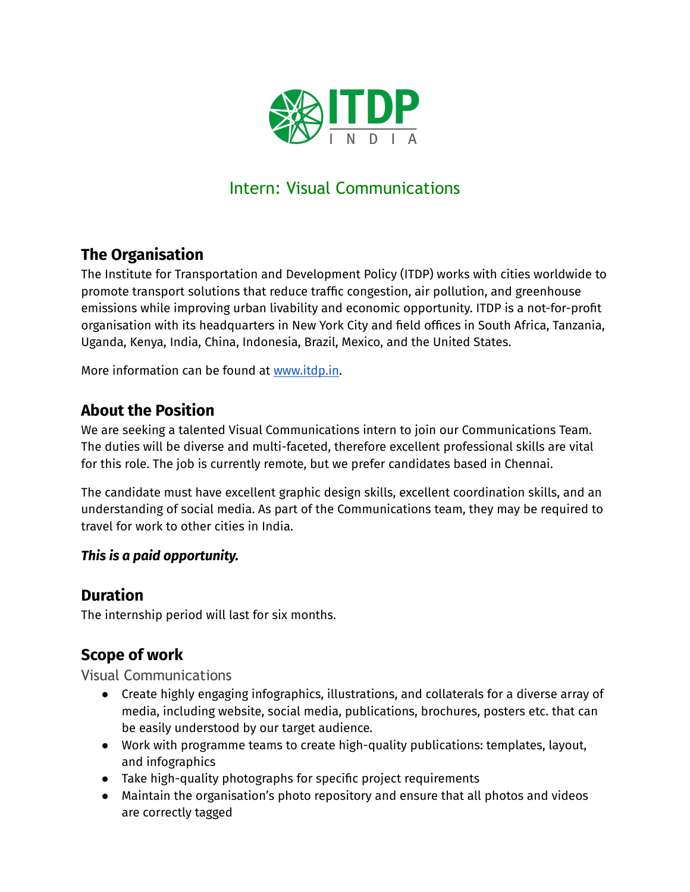

# Intern: Visual Communications

# **The Organisation**

The Institute for Transportation and Development Policy (ITDP) works with cities worldwide to promote transport solutions that reduce traffic congestion, air pollution, and greenhouse emissions while improving urban livability and economic opportunity. ITDP is a not-for-profit organisation with its headquarters in New York City and field offices in South Africa, Tanzania, Uganda, Kenya, India, China, Indonesia, Brazil, Mexico, and the United States.

More information can be found at [www.itdp.in](http://www.itdp.in).

### **About the Position**

We are seeking a talented Visual Communications intern to join our Communications Team. The duties will be diverse and multi-faceted, therefore excellent professional skills are vital for this role. The job is currently remote, but we prefer candidates based in Chennai.

The candidate must have excellent graphic design skills, excellent coordination skills, and an understanding of social media. As part of the Communications team, they may be required to travel for work to other cities in India.

#### *This is a paid opportunity.*

### **Duration**

The internship period will last for six months.

# **Scope of work**

Visual Communications

- Create highly engaging infographics, illustrations, and collaterals for a diverse array of media, including website, social media, publications, brochures, posters etc. that can be easily understood by our target audience.
- Work with programme teams to create high-quality publications: templates, layout, and infographics
- Take high-quality photographs for specific project requirements
- Maintain the organisation's photo repository and ensure that all photos and videos are correctly tagged